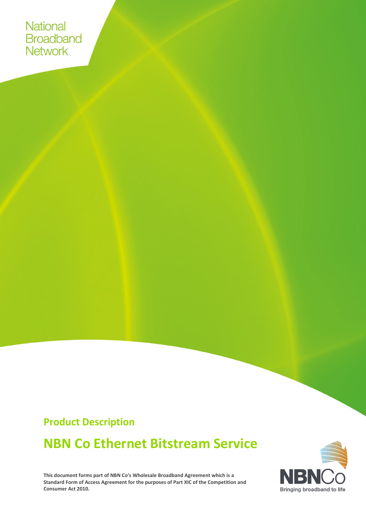National **Broadband Network** 

## **Product Description**

# **NBN Co Ethernet Bitstream Service**

**This document forms part of NBN Co's Wholesale Broadband Agreement which is a Standard Form of Access Agreement for the purposes of Part XIC of the Competition and Consumer Act 2010.**

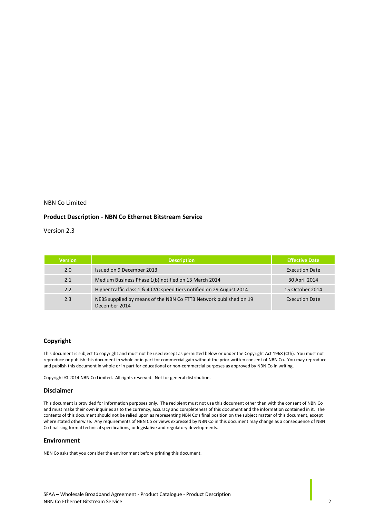#### NBN Co Limited

#### **Product Description - NBN Co Ethernet Bitstream Service**

Version 2.3

| <b>Version</b> | <b>Description</b>                                                                 | <b>Effective Date</b> |
|----------------|------------------------------------------------------------------------------------|-----------------------|
| 2.0            | Issued on 9 December 2013                                                          | <b>Execution Date</b> |
| 2.1            | Medium Business Phase 1(b) notified on 13 March 2014                               | 30 April 2014         |
| 2.2            | Higher traffic class 1 & 4 CVC speed tiers notified on 29 August 2014              | 15 October 2014       |
| 2.3            | NEBS supplied by means of the NBN Co FTTB Network published on 19<br>December 2014 | <b>Execution Date</b> |

#### **Copyright**

This document is subject to copyright and must not be used except as permitted below or under the Copyright Act 1968 (Cth). You must not reproduce or publish this document in whole or in part for commercial gain without the prior written consent of NBN Co. You may reproduce and publish this document in whole or in part for educational or non-commercial purposes as approved by NBN Co in writing.

Copyright © 2014 NBN Co Limited. All rights reserved. Not for general distribution.

#### **Disclaimer**

This document is provided for information purposes only. The recipient must not use this document other than with the consent of NBN Co and must make their own inquiries as to the currency, accuracy and completeness of this document and the information contained in it. The contents of this document should not be relied upon as representing NBN Co's final position on the subject matter of this document, except where stated otherwise. Any requirements of NBN Co or views expressed by NBN Co in this document may change as a consequence of NBN Co finalising formal technical specifications, or legislative and regulatory developments.

#### **Environment**

NBN Co asks that you consider the environment before printing this document.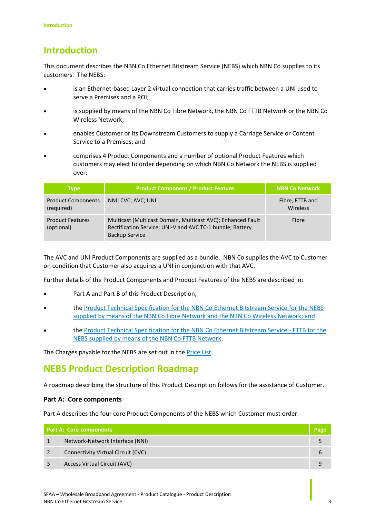## **Introduction**

This document describes the NBN Co Ethernet Bitstream Service (NEBS) which NBN Co supplies to its customers. The NEBS:

- is an Ethernet-based Layer 2 virtual connection that carries traffic between a UNI used to serve a Premises and a POI;
- is supplied by means of the NBN Co Fibre Network, the NBN Co FTTB Network or the NBN Co Wireless Network;
- enables Customer or its Downstream Customers to supply a Carriage Service or Content Service to a Premises; and
- comprises 4 Product Components and a number of optional Product Features which customers may elect to order depending on which NBN Co Network the NEBS is supplied over:

| <b>Type</b>                             | <b>Product Component / Product Feature</b>                                                                                                        | <b>NBN Co Network</b>       |
|-----------------------------------------|---------------------------------------------------------------------------------------------------------------------------------------------------|-----------------------------|
| <b>Product Components</b><br>(required) | NNI; CVC; AVC; UNI                                                                                                                                | Fibre, FTTB and<br>Wireless |
| <b>Product Features</b><br>(optional)   | Multicast (Multicast Domain, Multicast AVC); Enhanced Fault<br>Rectification Service; UNI-V and AVC TC-1 bundle; Battery<br><b>Backup Service</b> | Fibre                       |

The AVC and UNI Product Components are supplied as a bundle. NBN Co supplies the AVC to Customer on condition that Customer also acquires a UNI in conjunction with that AVC.

Further details of the Product Components and Product Features of the NEBS are described in:

- [Part A](#page-4-0) and [Part B](#page-13-0) of this Product Description;
- the Product Technical Specification for the NBN Co Ethernet Bitstream Service for the NEBS supplied by means of the NBN Co Fibre Network and the NBN Co Wireless Network; and
- the Product Technical Specification for the NBN Co Ethernet Bitstream Service FTTB for the NEBS supplied by means of the NBN Co FTTB Network.

The Charges payable for the NEBS are set out in the Price List.

## **NEBS Product Description Roadmap**

A roadmap describing the structure of this Product Description follows for the assistance of Customer.

### **[Part A: Core components](#page-4-0)**

[Part A](#page-4-0) describes the four core Product Components of the NEBS which Customer must order.

| <b>Part A: Core components</b> |                                    |  |
|--------------------------------|------------------------------------|--|
|                                | Network-Network Interface (NNI)    |  |
|                                | Connectivity Virtual Circuit (CVC) |  |
|                                | Access Virtual Circuit (AVC)       |  |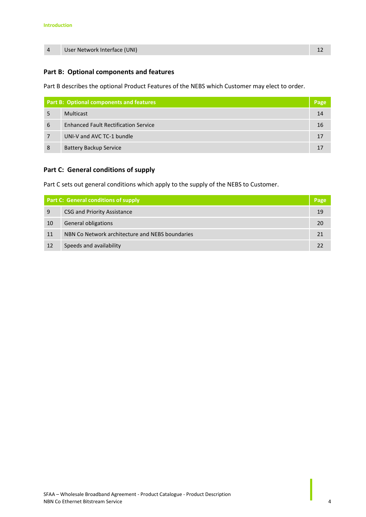|  | User Network Interface (UNI) |  |
|--|------------------------------|--|
|--|------------------------------|--|

### **[Part B: Optional components and features](#page-13-0)**

[Part B](#page-13-0) describes the optional Product Features of the NEBS which Customer may elect to order.

| <b>Part B: Optional components and features</b> |                                             | Page |
|-------------------------------------------------|---------------------------------------------|------|
|                                                 | <b>Multicast</b>                            | 14   |
| 6                                               | <b>Enhanced Fault Rectification Service</b> | 16   |
|                                                 | UNI-V and AVC TC-1 bundle                   | 17   |
| 8                                               | <b>Battery Backup Service</b>               | 17   |

### **[Part C: General conditions of supply](#page-18-0)**

[Part C](#page-18-0) sets out general conditions which apply to the supply of the NEBS to Customer.

| <b>Part C: General conditions of supply</b> |                                                 | Page |
|---------------------------------------------|-------------------------------------------------|------|
| 9                                           | CSG and Priority Assistance                     | 19   |
| 10                                          | General obligations                             | 20   |
| 11                                          | NBN Co Network architecture and NEBS boundaries | 21   |
| 12                                          | Speeds and availability                         | フフ   |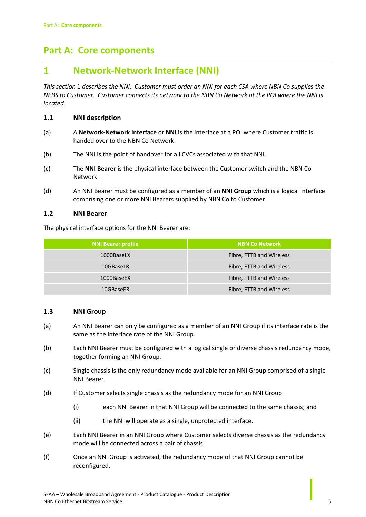## <span id="page-4-0"></span>**Part A: Core components**

### <span id="page-4-1"></span>**1 Network-Network Interface (NNI)**

*This section* [1](#page-4-1) *describes the NNI. Customer must order an NNI for each CSA where NBN Co supplies the NEBS to Customer. Customer connects its network to the NBN Co Network at the POI where the NNI is located.*

### **1.1 NNI description**

- (a) A **Network-Network Interface** or **NNI** is the interface at a POI where Customer traffic is handed over to the NBN Co Network.
- (b) The NNI is the point of handover for all CVCs associated with that NNI.
- (c) The **NNI Bearer** is the physical interface between the Customer switch and the NBN Co Network.
- (d) An NNI Bearer must be configured as a member of an **NNI Group** which is a logical interface comprising one or more NNI Bearers supplied by NBN Co to Customer.

### **1.2 NNI Bearer**

The physical interface options for the NNI Bearer are:

| <b>NNI Bearer profile</b> | <b>NBN Co Network</b>    |
|---------------------------|--------------------------|
| 1000BaseLX                | Fibre, FTTB and Wireless |
| 10GBaseLR                 | Fibre, FTTB and Wireless |
| 1000BaseEX                | Fibre, FTTB and Wireless |
| 10GBaseER                 | Fibre, FTTB and Wireless |

### **1.3 NNI Group**

- (a) An NNI Bearer can only be configured as a member of an NNI Group if its interface rate is the same as the interface rate of the NNI Group.
- (b) Each NNI Bearer must be configured with a logical single or diverse chassis redundancy mode, together forming an NNI Group.
- (c) Single chassis is the only redundancy mode available for an NNI Group comprised of a single NNI Bearer.
- (d) If Customer selects single chassis as the redundancy mode for an NNI Group:
	- (i) each NNI Bearer in that NNI Group will be connected to the same chassis; and
	- (ii) the NNI will operate as a single, unprotected interface.
- (e) Each NNI Bearer in an NNI Group where Customer selects diverse chassis as the redundancy mode will be connected across a pair of chassis.
- (f) Once an NNI Group is activated, the redundancy mode of that NNI Group cannot be reconfigured.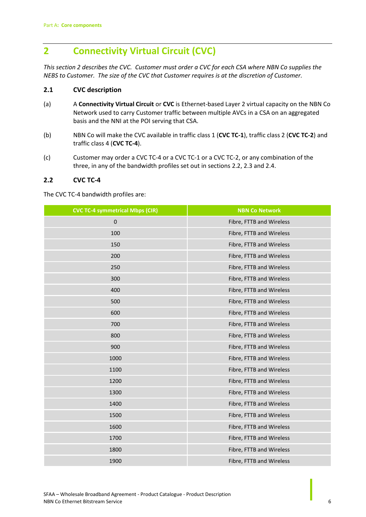## <span id="page-5-0"></span>**2 Connectivity Virtual Circuit (CVC)**

*This sectio[n 2](#page-5-0) describes the CVC. Customer must order a CVC for each CSA where NBN Co supplies the NEBS to Customer. The size of the CVC that Customer requires is at the discretion of Customer.*

### **2.1 CVC description**

- (a) A **Connectivity Virtual Circuit** or **CVC** is Ethernet-based Layer 2 virtual capacity on the NBN Co Network used to carry Customer traffic between multiple AVCs in a CSA on an aggregated basis and the NNI at the POI serving that CSA.
- (b) NBN Co will make the CVC available in traffic class 1 (**CVC TC-1**), traffic class 2 (**CVC TC-2**) and traffic class 4 (**CVC TC-4**).
- (c) Customer may order a CVC TC-4 or a CVC TC-1 or a CVC TC-2, or any combination of the three, in any of the bandwidth profiles set out in sections [2.2,](#page-5-1) [2.3](#page-7-0) and 2.4.

### <span id="page-5-1"></span>**2.2 CVC TC-4**

The CVC TC-4 bandwidth profiles are:

| <b>CVC TC-4 symmetrical Mbps (CIR)</b> | <b>NBN Co Network</b>    |
|----------------------------------------|--------------------------|
| $\pmb{0}$                              | Fibre, FTTB and Wireless |
| 100                                    | Fibre, FTTB and Wireless |
| 150                                    | Fibre, FTTB and Wireless |
| 200                                    | Fibre, FTTB and Wireless |
| 250                                    | Fibre, FTTB and Wireless |
| 300                                    | Fibre, FTTB and Wireless |
| 400                                    | Fibre, FTTB and Wireless |
| 500                                    | Fibre, FTTB and Wireless |
| 600                                    | Fibre, FTTB and Wireless |
| 700                                    | Fibre, FTTB and Wireless |
| 800                                    | Fibre, FTTB and Wireless |
| 900                                    | Fibre, FTTB and Wireless |
| 1000                                   | Fibre, FTTB and Wireless |
| 1100                                   | Fibre, FTTB and Wireless |
| 1200                                   | Fibre, FTTB and Wireless |
| 1300                                   | Fibre, FTTB and Wireless |
| 1400                                   | Fibre, FTTB and Wireless |
| 1500                                   | Fibre, FTTB and Wireless |
| 1600                                   | Fibre, FTTB and Wireless |
| 1700                                   | Fibre, FTTB and Wireless |
| 1800                                   | Fibre, FTTB and Wireless |
| 1900                                   | Fibre, FTTB and Wireless |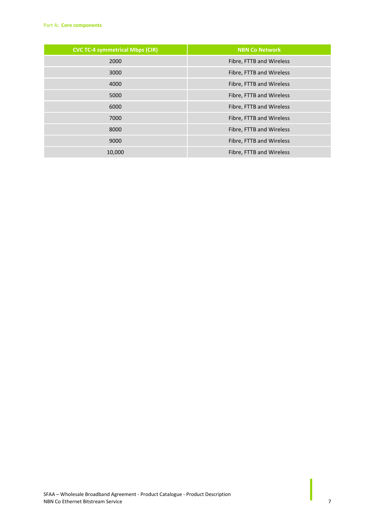| <b>CVC TC-4 symmetrical Mbps (CIR)</b> | <b>NBN Co Network</b>    |
|----------------------------------------|--------------------------|
| 2000                                   | Fibre, FTTB and Wireless |
| 3000                                   | Fibre, FTTB and Wireless |
| 4000                                   | Fibre, FTTB and Wireless |
| 5000                                   | Fibre, FTTB and Wireless |
| 6000                                   | Fibre, FTTB and Wireless |
| 7000                                   | Fibre, FTTB and Wireless |
| 8000                                   | Fibre, FTTB and Wireless |
| 9000                                   | Fibre, FTTB and Wireless |
| 10,000                                 | Fibre, FTTB and Wireless |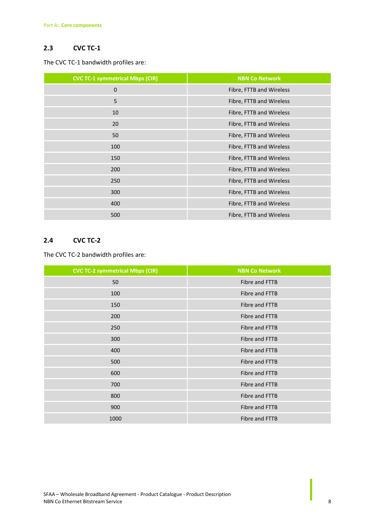### <span id="page-7-0"></span>**2.3 CVC TC-1**

The CVC TC-1 bandwidth profiles are:

| <b>CVC TC-1 symmetrical Mbps (CIR)</b> | <b>NBN Co Network</b>    |
|----------------------------------------|--------------------------|
| $\mathbf 0$                            | Fibre, FTTB and Wireless |
| 5                                      | Fibre, FTTB and Wireless |
| 10                                     | Fibre, FTTB and Wireless |
| 20                                     | Fibre, FTTB and Wireless |
| 50                                     | Fibre, FTTB and Wireless |
| 100                                    | Fibre, FTTB and Wireless |
| 150                                    | Fibre, FTTB and Wireless |
| 200                                    | Fibre, FTTB and Wireless |
| 250                                    | Fibre, FTTB and Wireless |
| 300                                    | Fibre, FTTB and Wireless |
| 400                                    | Fibre, FTTB and Wireless |
| 500                                    | Fibre, FTTB and Wireless |

### **2.4 CVC TC-2**

The CVC TC-2 bandwidth profiles are:

| <b>CVC TC-2 symmetrical Mbps (CIR)</b> | <b>NBN Co Network</b> |
|----------------------------------------|-----------------------|
| 50                                     | Fibre and FTTB        |
| 100                                    | Fibre and FTTB        |
| 150                                    | Fibre and FTTB        |
| 200                                    | Fibre and FTTB        |
| 250                                    | Fibre and FTTB        |
| 300                                    | Fibre and FTTB        |
| 400                                    | Fibre and FTTB        |
| 500                                    | Fibre and FTTB        |
| 600                                    | Fibre and FTTB        |
| 700                                    | Fibre and FTTB        |
| 800                                    | Fibre and FTTB        |
| 900                                    | Fibre and FTTB        |
| 1000                                   | Fibre and FTTB        |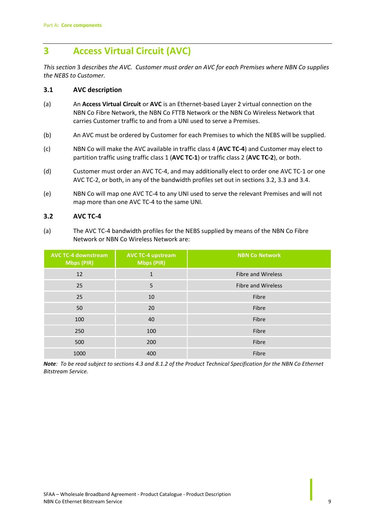## <span id="page-8-0"></span>**3 Access Virtual Circuit (AVC)**

*This section* [3](#page-8-0) *describes the AVC. Customer must order an AVC for each Premises where NBN Co supplies the NEBS to Customer.* 

### **3.1 AVC description**

- (a) An **Access Virtual Circuit** or **AVC** is an Ethernet-based Layer 2 virtual connection on the NBN Co Fibre Network, the NBN Co FTTB Network or the NBN Co Wireless Network that carries Customer traffic to and from a UNI used to serve a Premises.
- (b) An AVC must be ordered by Customer for each Premises to which the NEBS will be supplied.
- (c) NBN Co will make the AVC available in traffic class 4 (**AVC TC-4**) and Customer may elect to partition traffic using traffic class 1 (**AVC TC-1**) or traffic class 2 (**AVC TC-2**), or both.
- (d) Customer must order an AVC TC-4, and may additionally elect to order one AVC TC-1 or one AVC TC-2, or both, in any of the bandwidth profiles set out in section[s 3.2,](#page-8-1) 3.3 and 3.4.
- (e) NBN Co will map one AVC TC-4 to any UNI used to serve the relevant Premises and will not map more than one AVC TC-4 to the same UNI.

### <span id="page-8-1"></span>**3.2 AVC TC-4**

<span id="page-8-2"></span>(a) The AVC TC-4 bandwidth profiles for the NEBS supplied by means of the NBN Co Fibre Network or NBN Co Wireless Network are:

| <b>AVC TC-4 downstream</b><br><b>Mbps (PIR)</b> | <b>AVC TC-4 upstream</b><br><b>Mbps (PIR)</b> | <b>NBN Co Network</b>     |
|-------------------------------------------------|-----------------------------------------------|---------------------------|
| 12                                              | $\mathbf{1}$                                  | <b>Fibre and Wireless</b> |
| 25                                              | 5                                             | <b>Fibre and Wireless</b> |
| 25                                              | 10                                            | Fibre                     |
| 50                                              | 20                                            | Fibre                     |
| 100                                             | 40                                            | Fibre                     |
| 250                                             | 100                                           | Fibre                     |
| 500                                             | 200                                           | Fibre                     |
| 1000                                            | 400                                           | Fibre                     |

*Note: To be read subject to sections 4.3 and 8.1.2 of the Product Technical Specification for the NBN Co Ethernet Bitstream Service.*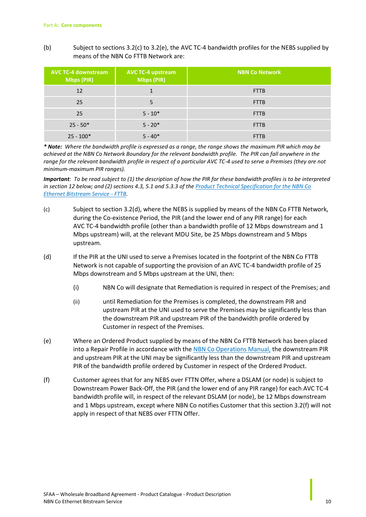<span id="page-9-4"></span>(b) Subject to section[s 3.2\(c\)](#page-9-0) to [3.2\(e\),](#page-9-1) the AVC TC-4 bandwidth profiles for the NEBS supplied by means of the NBN Co FTTB Network are:

| <b>AVC TC-4 downstream</b><br><b>Mbps (PIR)</b> | <b>AVC TC-4 upstream</b><br>Mbps (PIR) | <b>NBN Co Network</b> |
|-------------------------------------------------|----------------------------------------|-----------------------|
| 12                                              |                                        | <b>FTTB</b>           |
| 25                                              | 5                                      | <b>FTTB</b>           |
| 25                                              | $5 - 10*$                              | <b>FTTB</b>           |
| $25 - 50*$                                      | $5 - 20*$                              | <b>FTTB</b>           |
| $25 - 100*$                                     | $5 - 40*$                              | <b>FTTB</b>           |

*\* Note: Where the bandwidth profile is expressed as a range, the range shows the maximum PIR which may be achieved at the NBN Co Network Boundary for the relevant bandwidth profile. The PIR can fall anywhere in the range for the relevant bandwidth profile in respect of a particular AVC TC-4 used to serve a Premises (they are not minimum-maximum PIR ranges).* 

*Important: To be read subject to (1) the description of how the PIR for these bandwidth profiles is to be interpreted in sectio[n 12](#page-21-0) below; and (2) sections 4.3, 5.1 and 5.3.3 of the Product Technical Specification for the NBN Co Ethernet Bitstream Service - FTTB.* 

- <span id="page-9-0"></span>(c) Subject to section [3.2\(d\),](#page-9-2) where the NEBS is supplied by means of the NBN Co FTTB Network, during the Co-existence Period, the PIR (and the lower end of any PIR range) for each AVC TC-4 bandwidth profile (other than a bandwidth profile of 12 Mbps downstream and 1 Mbps upstream) will, at the relevant MDU Site, be 25 Mbps downstream and 5 Mbps upstream.
- <span id="page-9-2"></span>(d) If the PIR at the UNI used to serve a Premises located in the footprint of the NBN Co FTTB Network is not capable of supporting the provision of an AVC TC-4 bandwidth profile of 25 Mbps downstream and 5 Mbps upstream at the UNI, then:
	- (i) NBN Co will designate that Remediation is required in respect of the Premises; and
	- (ii) until Remediation for the Premises is completed, the downstream PIR and upstream PIR at the UNI used to serve the Premises may be significantly less than the downstream PIR and upstream PIR of the bandwidth profile ordered by Customer in respect of the Premises.
- <span id="page-9-1"></span>(e) Where an Ordered Product supplied by means of the NBN Co FTTB Network has been placed into a Repair Profile in accordance with the NBN Co Operations Manual, the downstream PIR and upstream PIR at the UNI may be significantly less than the downstream PIR and upstream PIR of the bandwidth profile ordered by Customer in respect of the Ordered Product.
- <span id="page-9-3"></span>(f) Customer agrees that for any NEBS over FTTN Offer, where a DSLAM (or node) is subject to Downstream Power Back-Off, the PIR (and the lower end of any PIR range) for each AVC TC-4 bandwidth profile will, in respect of the relevant DSLAM (or node), be 12 Mbps downstream and 1 Mbps upstream, except where NBN Co notifies Customer that this sectio[n 3.2\(f\)](#page-9-3) will not apply in respect of that NEBS over FTTN Offer.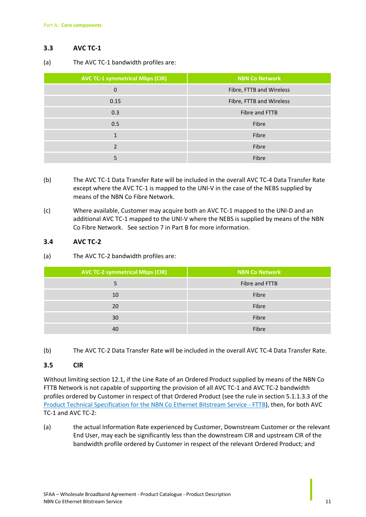### **3.3 AVC TC-1**

<span id="page-10-0"></span>(a) The AVC TC-1 bandwidth profiles are:

| <b>AVC TC-1 symmetrical Mbps (CIR)</b> | <b>NBN Co Network</b>    |  |
|----------------------------------------|--------------------------|--|
| $\boldsymbol{0}$                       | Fibre, FTTB and Wireless |  |
| 0.15                                   | Fibre, FTTB and Wireless |  |
| 0.3                                    | Fibre and FTTB           |  |
| 0.5                                    | Fibre                    |  |
| $\mathbf{1}$                           | Fibre                    |  |
| $\overline{\mathbf{c}}$                | Fibre                    |  |
| 5                                      | Fibre                    |  |

- (b) The AVC TC-1 Data Transfer Rate will be included in the overall AVC TC-4 Data Transfer Rate except where the AVC TC-1 is mapped to the UNI-V in the case of the NEBS supplied by means of the NBN Co Fibre Network.
- (c) Where available, Customer may acquire both an AVC TC-1 mapped to the UNI-D and an additional AVC TC-1 mapped to the UNI-V where the NEBS is supplied by means of the NBN Co Fibre Network. See sectio[n 7](#page-16-0) i[n Part B](#page-13-0) for more information.

### <span id="page-10-1"></span>**3.4 AVC TC-2**

(a) The AVC TC-2 bandwidth profiles are:

| <b>AVC TC-2 symmetrical Mbps (CIR)</b> | <b>NBN Co Network</b> |  |
|----------------------------------------|-----------------------|--|
| 5                                      | Fibre and FTTB        |  |
| 10                                     | Fibre                 |  |
| 20                                     | Fibre                 |  |
| 30                                     | Fibre                 |  |
| 40                                     | Fibre                 |  |

(b) The AVC TC-2 Data Transfer Rate will be included in the overall AVC TC-4 Data Transfer Rate.

### **3.5 CIR**

Without limiting section [12.1,](#page-21-1) if the Line Rate of an Ordered Product supplied by means of the NBN Co FTTB Network is not capable of supporting the provision of all AVC TC-1 and AVC TC-2 bandwidth profiles ordered by Customer in respect of that Ordered Product (see the rule in section 5.1.1.3.3 of the Product Technical Specification for the NBN Co Ethernet Bitstream Service - FTTB), then, for both AVC TC-1 and AVC TC-2:

(a) the actual Information Rate experienced by Customer, Downstream Customer or the relevant End User, may each be significantly less than the downstream CIR and upstream CIR of the bandwidth profile ordered by Customer in respect of the relevant Ordered Product; and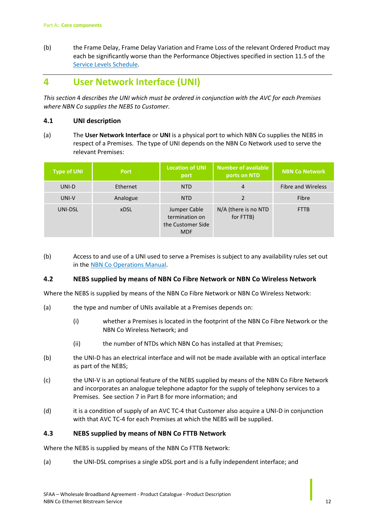(b) the Frame Delay, Frame Delay Variation and Frame Loss of the relevant Ordered Product may each be significantly worse than the Performance Objectives specified in section 11.5 of the Service Levels Schedule.

### <span id="page-11-0"></span>**4 User Network Interface (UNI)**

*This section* [4](#page-11-0) *describes the UNI which must be ordered in conjunction with the AVC for each Premises where NBN Co supplies the NEBS to Customer.*

### **4.1 UNI description**

(a) The **User Network Interface** or **UNI** is a physical port to which NBN Co supplies the NEBS in respect of a Premises. The type of UNI depends on the NBN Co Network used to serve the relevant Premises:

| <b>Type of UNI</b> | <b>Port</b> | <b>Location of UNI</b><br>port                                    | <b>Number of available</b><br>ports on NTD | <b>NBN Co Network</b>     |
|--------------------|-------------|-------------------------------------------------------------------|--------------------------------------------|---------------------------|
| UNI-D              | Ethernet    | <b>NTD</b>                                                        | 4                                          | <b>Fibre and Wireless</b> |
| UNI-V              | Analogue    | <b>NTD</b>                                                        | $\overline{\mathbf{c}}$                    | Fibre                     |
| UNI-DSL            | <b>xDSL</b> | Jumper Cable<br>termination on<br>the Customer Side<br><b>MDF</b> | N/A (there is no NTD<br>for FTTB)          | <b>FTTB</b>               |

(b) Access to and use of a UNI used to serve a Premises is subject to any availability rules set out in the NBN Co Operations Manual.

### **4.2 NEBS supplied by means of NBN Co Fibre Network or NBN Co Wireless Network**

Where the NEBS is supplied by means of the NBN Co Fibre Network or NBN Co Wireless Network:

- (a) the type and number of UNIs available at a Premises depends on:
	- (i) whether a Premises is located in the footprint of the NBN Co Fibre Network or the NBN Co Wireless Network; and
	- (ii) the number of NTDs which NBN Co has installed at that Premises;
- (b) the UNI-D has an electrical interface and will not be made available with an optical interface as part of the NEBS;
- (c) the UNI-V is an optional feature of the NEBS supplied by means of the NBN Co Fibre Network and incorporates an analogue telephone adaptor for the supply of telephony services to a Premises. See sectio[n 7](#page-16-0) i[n Part B](#page-13-0) for more information; and
- (d) it is a condition of supply of an AVC TC-4 that Customer also acquire a UNI-D in conjunction with that AVC TC-4 for each Premises at which the NEBS will be supplied.

### **4.3 NEBS supplied by means of NBN Co FTTB Network**

Where the NEBS is supplied by means of the NBN Co FTTB Network:

(a) the UNI-DSL comprises a single xDSL port and is a fully independent interface; and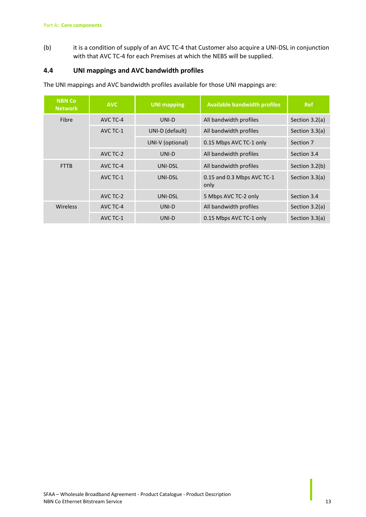(b) it is a condition of supply of an AVC TC-4 that Customer also acquire a UNI-DSL in conjunction with that AVC TC-4 for each Premises at which the NEBS will be supplied.

### **4.4 UNI mappings and AVC bandwidth profiles**

The UNI mappings and AVC bandwidth profiles available for those UNI mappings are:

| <b>NBN Co</b><br><b>Network</b> | <b>AVC</b> | <b>UNI mapping</b> | <b>Available bandwidth profiles</b> | <b>Ref</b>     |
|---------------------------------|------------|--------------------|-------------------------------------|----------------|
| Fibre                           | AVC TC-4   | UNI-D              | All bandwidth profiles              | Section 3.2(a) |
| AVC TC-1                        |            | UNI-D (default)    | All bandwidth profiles              | Section 3.3(a) |
|                                 |            | UNI-V (optional)   | 0.15 Mbps AVC TC-1 only             | Section 7      |
|                                 | AVC TC-2   | UNI-D              | All bandwidth profiles              | Section 3.4    |
| <b>FTTB</b>                     | AVC TC-4   | UNI-DSL            | All bandwidth profiles              | Section 3.2(b) |
| AVC TC-1                        |            | UNI-DSL            | 0.15 and 0.3 Mbps AVC TC-1<br>only  | Section 3.3(a) |
|                                 | AVC TC-2   | UNI-DSL            | 5 Mbps AVC TC-2 only                | Section 3.4    |
| Wireless                        | AVC TC-4   | UNI-D              | All bandwidth profiles              | Section 3.2(a) |
|                                 | AVC TC-1   | UNI-D              | 0.15 Mbps AVC TC-1 only             | Section 3.3(a) |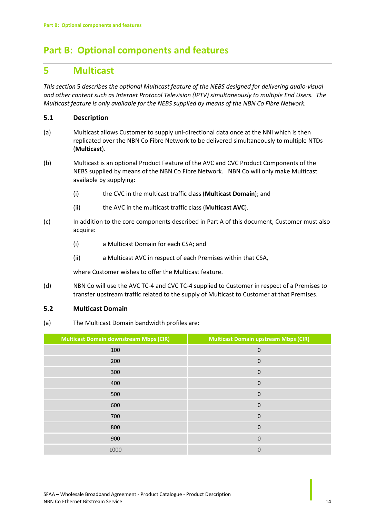## <span id="page-13-0"></span>**Part B: Optional components and features**

### <span id="page-13-1"></span>**5 Multicast**

*This section* [5](#page-13-1) *describes the optional Multicast feature of the NEBS designed for delivering audio-visual and other content such as Internet Protocol Television (IPTV) simultaneously to multiple End Users. The Multicast feature is only available for the NEBS supplied by means of the NBN Co Fibre Network.*

### **5.1 Description**

- (a) Multicast allows Customer to supply uni-directional data once at the NNI which is then replicated over the NBN Co Fibre Network to be delivered simultaneously to multiple NTDs (**Multicast**).
- (b) Multicast is an optional Product Feature of the AVC and CVC Product Components of the NEBS supplied by means of the NBN Co Fibre Network. NBN Co will only make Multicast available by supplying:
	- (i) the CVC in the multicast traffic class (**Multicast Domain**); and
	- (ii) the AVC in the multicast traffic class (**Multicast AVC**).
- (c) In addition to the core components described i[n Part A](#page-4-0) of this document, Customer must also acquire:
	- (i) a Multicast Domain for each CSA; and
	- (ii) a Multicast AVC in respect of each Premises within that CSA,

where Customer wishes to offer the Multicast feature.

(d) NBN Co will use the AVC TC-4 and CVC TC-4 supplied to Customer in respect of a Premises to transfer upstream traffic related to the supply of Multicast to Customer at that Premises.

### **5.2 Multicast Domain**

(a) The Multicast Domain bandwidth profiles are:

| <b>Multicast Domain downstream Mbps (CIR)</b> | <b>Multicast Domain upstream Mbps (CIR)</b> |
|-----------------------------------------------|---------------------------------------------|
| 100                                           | $\mathbf 0$                                 |
| 200                                           | $\mathbf 0$                                 |
| 300                                           | $\mathbf 0$                                 |
| 400                                           | $\mathbf 0$                                 |
| 500                                           | $\mathbf 0$                                 |
| 600                                           | $\mathbf 0$                                 |
| 700                                           | $\mathbf{0}$                                |
| 800                                           | $\mathbf 0$                                 |
| 900                                           | $\mathbf 0$                                 |
| 1000                                          | 0                                           |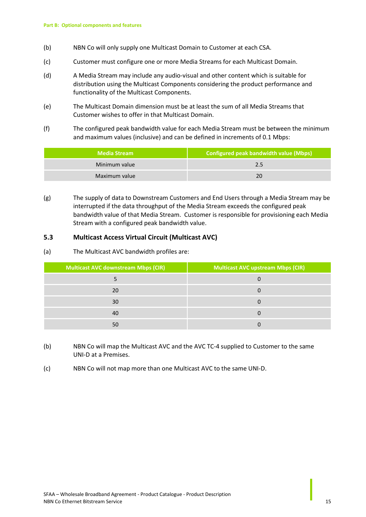- (b) NBN Co will only supply one Multicast Domain to Customer at each CSA.
- (c) Customer must configure one or more Media Streams for each Multicast Domain.
- (d) A Media Stream may include any audio-visual and other content which is suitable for distribution using the Multicast Components considering the product performance and functionality of the Multicast Components.
- (e) The Multicast Domain dimension must be at least the sum of all Media Streams that Customer wishes to offer in that Multicast Domain.
- (f) The configured peak bandwidth value for each Media Stream must be between the minimum and maximum values (inclusive) and can be defined in increments of 0.1 Mbps:

| Media Stream  | Configured peak bandwidth value (Mbps) |  |
|---------------|----------------------------------------|--|
| Minimum value | 2.5                                    |  |
| Maximum value | 20                                     |  |

(g) The supply of data to Downstream Customers and End Users through a Media Stream may be interrupted if the data throughput of the Media Stream exceeds the configured peak bandwidth value of that Media Stream. Customer is responsible for provisioning each Media Stream with a configured peak bandwidth value.

#### **5.3 Multicast Access Virtual Circuit (Multicast AVC)**

(a) The Multicast AVC bandwidth profiles are:

| <b>Multicast AVC downstream Mbps (CIR)</b> | <b>Multicast AVC upstream Mbps (CIR)</b> |  |
|--------------------------------------------|------------------------------------------|--|
|                                            |                                          |  |
| 20                                         |                                          |  |
| 30                                         |                                          |  |
| 40                                         |                                          |  |
|                                            |                                          |  |

- (b) NBN Co will map the Multicast AVC and the AVC TC-4 supplied to Customer to the same UNI-D at a Premises.
- (c) NBN Co will not map more than one Multicast AVC to the same UNI-D.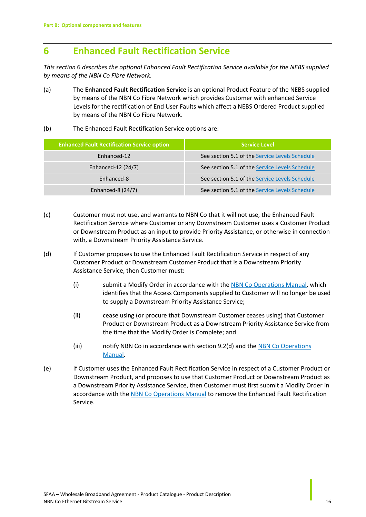## <span id="page-15-0"></span>**6 Enhanced Fault Rectification Service**

*This section* [6](#page-15-0) *describes the optional Enhanced Fault Rectification Service available for the NEBS supplied by means of the NBN Co Fibre Network.*

- (a) The **Enhanced Fault Rectification Service** is an optional Product Feature of the NEBS supplied by means of the NBN Co Fibre Network which provides Customer with enhanced Service Levels for the rectification of End User Faults which affect a NEBS Ordered Product supplied by means of the NBN Co Fibre Network.
- (b) The Enhanced Fault Rectification Service options are:

| <b>Enhanced Fault Rectification Service option</b> | <b>Service Level</b>                           |
|----------------------------------------------------|------------------------------------------------|
| Enhanced-12                                        | See section 5.1 of the Service Levels Schedule |
| Enhanced-12 (24/7)                                 | See section 5.1 of the Service Levels Schedule |
| Enhanced-8                                         | See section 5.1 of the Service Levels Schedule |
| Enhanced-8 $(24/7)$                                | See section 5.1 of the Service Levels Schedule |

- (c) Customer must not use, and warrants to NBN Co that it will not use, the Enhanced Fault Rectification Service where Customer or any Downstream Customer uses a Customer Product or Downstream Product as an input to provide Priority Assistance, or otherwise in connection with, a Downstream Priority Assistance Service.
- (d) If Customer proposes to use the Enhanced Fault Rectification Service in respect of any Customer Product or Downstream Customer Product that is a Downstream Priority Assistance Service, then Customer must:
	- (i) submit a Modify Order in accordance with the NBN Co Operations Manual, which identifies that the Access Components supplied to Customer will no longer be used to supply a Downstream Priority Assistance Service;
	- (ii) cease using (or procure that Downstream Customer ceases using) that Customer Product or Downstream Product as a Downstream Priority Assistance Service from the time that the Modify Order is Complete; and
	- (iii) notify NBN Co in accordance with section 9.2(d) and the NBN Co Operations Manual.
- (e) If Customer uses the Enhanced Fault Rectification Service in respect of a Customer Product or Downstream Product, and proposes to use that Customer Product or Downstream Product as a Downstream Priority Assistance Service, then Customer must first submit a Modify Order in accordance with the NBN Co Operations Manual to remove the Enhanced Fault Rectification Service.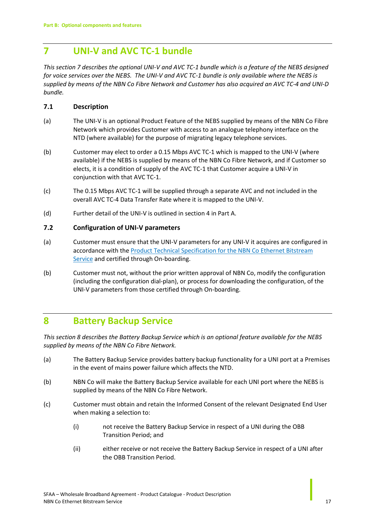## <span id="page-16-0"></span>**7 UNI-V and AVC TC-1 bundle**

*This sectio[n 7](#page-16-0) describes the optional UNI-V and AVC TC-1 bundle which is a feature of the NEBS designed for voice services over the NEBS. The UNI-V and AVC TC-1 bundle is only available where the NEBS is supplied by means of the NBN Co Fibre Network and Customer has also acquired an AVC TC-4 and UNI-D bundle.*

### **7.1 Description**

- (a) The UNI-V is an optional Product Feature of the NEBS supplied by means of the NBN Co Fibre Network which provides Customer with access to an analogue telephony interface on the NTD (where available) for the purpose of migrating legacy telephone services.
- (b) Customer may elect to order a 0.15 Mbps AVC TC-1 which is mapped to the UNI-V (where available) if the NEBS is supplied by means of the NBN Co Fibre Network, and if Customer so elects, it is a condition of supply of the AVC TC-1 that Customer acquire a UNI-V in conjunction with that AVC TC-1.
- (c) The 0.15 Mbps AVC TC-1 will be supplied through a separate AVC and not included in the overall AVC TC-4 Data Transfer Rate where it is mapped to the UNI-V.
- (d) Further detail of the UNI-V is outlined in sectio[n 4](#page-11-0) i[n Part A.](#page-4-0)

### **7.2 Configuration of UNI-V parameters**

- (a) Customer must ensure that the UNI-V parameters for any UNI-V it acquires are configured in accordance with the **Product Technical Specification for the NBN Co Ethernet Bitstream** Service and certified through On-boarding.
- (b) Customer must not, without the prior written approval of NBN Co, modify the configuration (including the configuration dial-plan), or process for downloading the configuration, of the UNI-V parameters from those certified through On-boarding.

### <span id="page-16-1"></span>**8 Battery Backup Service**

*This sectio[n 8](#page-16-1) describes the Battery Backup Service which is an optional feature available for the NEBS supplied by means of the NBN Co Fibre Network.* 

- (a) The Battery Backup Service provides battery backup functionality for a UNI port at a Premises in the event of mains power failure which affects the NTD.
- (b) NBN Co will make the Battery Backup Service available for each UNI port where the NEBS is supplied by means of the NBN Co Fibre Network.
- (c) Customer must obtain and retain the Informed Consent of the relevant Designated End User when making a selection to:
	- (i) not receive the Battery Backup Service in respect of a UNI during the OBB Transition Period; and
	- (ii) either receive or not receive the Battery Backup Service in respect of a UNI after the OBB Transition Period.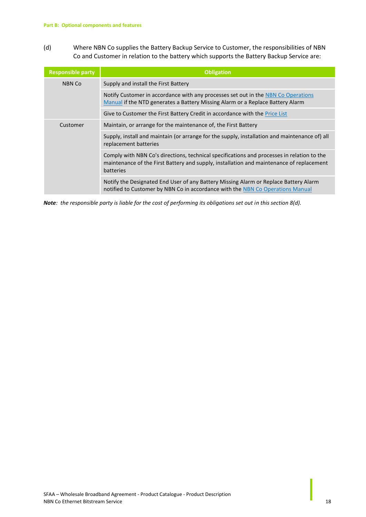<span id="page-17-0"></span>(d) Where NBN Co supplies the Battery Backup Service to Customer, the responsibilities of NBN Co and Customer in relation to the battery which supports the Battery Backup Service are:

| <b>Responsible party</b> | <b>Obligation</b>                                                                                                                                                                                   |
|--------------------------|-----------------------------------------------------------------------------------------------------------------------------------------------------------------------------------------------------|
| <b>NBN Co</b>            | Supply and install the First Battery                                                                                                                                                                |
|                          | Notify Customer in accordance with any processes set out in the NBN Co Operations<br>Manual if the NTD generates a Battery Missing Alarm or a Replace Battery Alarm                                 |
|                          | Give to Customer the First Battery Credit in accordance with the Price List                                                                                                                         |
| Customer                 | Maintain, or arrange for the maintenance of, the First Battery                                                                                                                                      |
|                          | Supply, install and maintain (or arrange for the supply, installation and maintenance of) all<br>replacement batteries                                                                              |
|                          | Comply with NBN Co's directions, technical specifications and processes in relation to the<br>maintenance of the First Battery and supply, installation and maintenance of replacement<br>batteries |
|                          | Notify the Designated End User of any Battery Missing Alarm or Replace Battery Alarm<br>notified to Customer by NBN Co in accordance with the NBN Co Operations Manual                              |

*Note: the responsible party is liable for the cost of performing its obligations set out in this sectio[n 8\(d\).](#page-17-0)*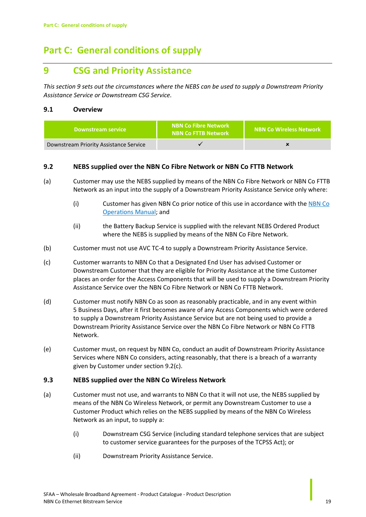## <span id="page-18-0"></span>**Part C: General conditions of supply**

## <span id="page-18-1"></span>**9 CSG and Priority Assistance**

*This sectio[n 9](#page-18-1) sets out the circumstances where the NEBS can be used to supply a Downstream Priority Assistance Service or Downstream CSG Service.*

### **9.1 Overview**

| <b>Downstream service</b>              | <b>NBN Co Fibre Network</b><br><b>NBN Co FTTB Network</b> | <b>NBN Co Wireless Network</b> |
|----------------------------------------|-----------------------------------------------------------|--------------------------------|
| Downstream Priority Assistance Service |                                                           |                                |

### **9.2 NEBS supplied over the NBN Co Fibre Network or NBN Co FTTB Network**

- (a) Customer may use the NEBS supplied by means of the NBN Co Fibre Network or NBN Co FTTB Network as an input into the supply of a Downstream Priority Assistance Service only where:
	- (i) Customer has given NBN Co prior notice of this use in accordance with the NBN Co Operations Manual; and
	- (ii) the Battery Backup Service is supplied with the relevant NEBS Ordered Product where the NEBS is supplied by means of the NBN Co Fibre Network.
- (b) Customer must not use AVC TC-4 to supply a Downstream Priority Assistance Service.
- <span id="page-18-2"></span>(c) Customer warrants to NBN Co that a Designated End User has advised Customer or Downstream Customer that they are eligible for Priority Assistance at the time Customer places an order for the Access Components that will be used to supply a Downstream Priority Assistance Service over the NBN Co Fibre Network or NBN Co FTTB Network.
- (d) Customer must notify NBN Co as soon as reasonably practicable, and in any event within 5 Business Days, after it first becomes aware of any Access Components which were ordered to supply a Downstream Priority Assistance Service but are not being used to provide a Downstream Priority Assistance Service over the NBN Co Fibre Network or NBN Co FTTB Network.
- (e) Customer must, on request by NBN Co, conduct an audit of Downstream Priority Assistance Services where NBN Co considers, acting reasonably, that there is a breach of a warranty given by Customer under sectio[n 9.2\(c\).](#page-18-2)

### **9.3 NEBS supplied over the NBN Co Wireless Network**

- (a) Customer must not use, and warrants to NBN Co that it will not use, the NEBS supplied by means of the NBN Co Wireless Network, or permit any Downstream Customer to use a Customer Product which relies on the NEBS supplied by means of the NBN Co Wireless Network as an input, to supply a:
	- (i) Downstream CSG Service (including standard telephone services that are subject to customer service guarantees for the purposes of the TCPSS Act); or
	- (ii) Downstream Priority Assistance Service.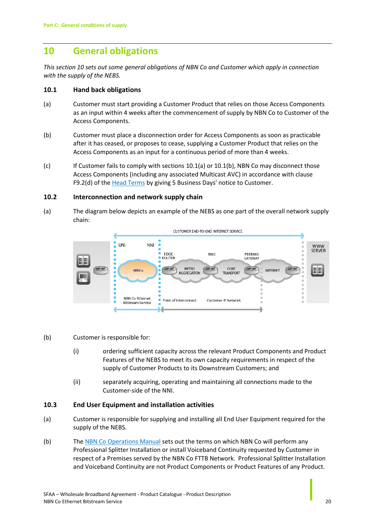## <span id="page-19-0"></span>**10 General obligations**

*This sectio[n 10](#page-19-0) sets out some general obligations of NBN Co and Customer which apply in connection with the supply of the NEBS.*

### **10.1 Hand back obligations**

- <span id="page-19-1"></span>(a) Customer must start providing a Customer Product that relies on those Access Components as an input within 4 weeks after the commencement of supply by NBN Co to Customer of the Access Components.
- <span id="page-19-2"></span>(b) Customer must place a disconnection order for Access Components as soon as practicable after it has ceased, or proposes to cease, supplying a Customer Product that relies on the Access Components as an input for a continuous period of more than 4 weeks.
- $(c)$  If Customer fails to comply with section[s 10.1\(a\)](#page-19-1) o[r 10.1\(b\),](#page-19-2) NBN Co may disconnect those Access Components (including any associated Multicast AVC) in accordance with clause F9.2(d) of the **Head Terms** by giving 5 Business Days' notice to Customer.

### **10.2 Interconnection and network supply chain**

(a) The diagram below depicts an example of the NEBS as one part of the overall network supply chain:



(b) Customer is responsible for:

- (i) ordering sufficient capacity across the relevant Product Components and Product Features of the NEBS to meet its own capacity requirements in respect of the supply of Customer Products to its Downstream Customers; and
- (ii) separately acquiring, operating and maintaining all connections made to the Customer-side of the NNI.

### **10.3 End User Equipment and installation activities**

- (a) Customer is responsible for supplying and installing all End User Equipment required for the supply of the NEBS.
- (b) The NBN Co Operations Manual sets out the terms on which NBN Co will perform any Professional Splitter Installation or install Voiceband Continuity requested by Customer in respect of a Premises served by the NBN Co FTTB Network. Professional Splitter Installation and Voiceband Continuity are not Product Components or Product Features of any Product.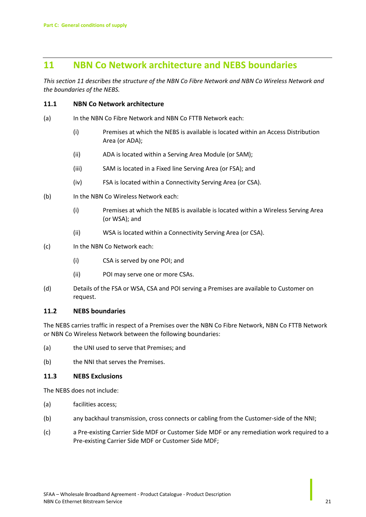### <span id="page-20-0"></span>**11 NBN Co Network architecture and NEBS boundaries**

*This sectio[n 11](#page-20-0) describes the structure of the NBN Co Fibre Network and NBN Co Wireless Network and the boundaries of the NEBS.*

### **11.1 NBN Co Network architecture**

- (a) In the NBN Co Fibre Network and NBN Co FTTB Network each:
	- (i) Premises at which the NEBS is available is located within an Access Distribution Area (or ADA);
	- (ii) ADA is located within a Serving Area Module (or SAM);
	- (iii) SAM is located in a Fixed line Serving Area (or FSA); and
	- (iv) FSA is located within a Connectivity Serving Area (or CSA).
- (b) In the NBN Co Wireless Network each:
	- (i) Premises at which the NEBS is available is located within a Wireless Serving Area (or WSA); and
	- (ii) WSA is located within a Connectivity Serving Area (or CSA).
- (c) In the NBN Co Network each:
	- (i) CSA is served by one POI; and
	- (ii) POI may serve one or more CSAs.
- (d) Details of the FSA or WSA, CSA and POI serving a Premises are available to Customer on request.

### **11.2 NEBS boundaries**

The NEBS carries traffic in respect of a Premises over the NBN Co Fibre Network, NBN Co FTTB Network or NBN Co Wireless Network between the following boundaries:

- (a) the UNI used to serve that Premises; and
- (b) the NNI that serves the Premises.

### **11.3 NEBS Exclusions**

The NEBS does not include:

- (a) facilities access;
- (b) any backhaul transmission, cross connects or cabling from the Customer-side of the NNI;
- (c) a Pre-existing Carrier Side MDF or Customer Side MDF or any remediation work required to a Pre-existing Carrier Side MDF or Customer Side MDF;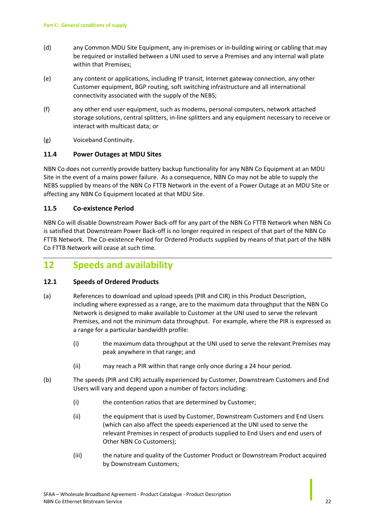- (d) any Common MDU Site Equipment, any in-premises or in-building wiring or cabling that may be required or installed between a UNI used to serve a Premises and any internal wall plate within that Premises;
- (e) any content or applications, including IP transit, Internet gateway connection, any other Customer equipment, BGP routing, soft switching infrastructure and all international connectivity associated with the supply of the NEBS;
- (f) any other end user equipment, such as modems, personal computers, network attached storage solutions, central splitters, in-line splitters and any equipment necessary to receive or interact with multicast data; or
- (g) Voiceband Continuity.

### **11.4 Power Outages at MDU Sites**

NBN Co does not currently provide battery backup functionality for any NBN Co Equipment at an MDU Site in the event of a mains power failure. As a consequence, NBN Co may not be able to supply the NEBS supplied by means of the NBN Co FTTB Network in the event of a Power Outage at an MDU Site or affecting any NBN Co Equipment located at that MDU Site.

### **11.5 Co-existence Period**

NBN Co will disable Downstream Power Back-off for any part of the NBN Co FTTB Network when NBN Co is satisfied that Downstream Power Back-off is no longer required in respect of that part of the NBN Co FTTB Network. The Co-existence Period for Ordered Products supplied by means of that part of the NBN Co FTTB Network will cease at such time.

### <span id="page-21-0"></span>**12 Speeds and availability**

### <span id="page-21-1"></span>**12.1 Speeds of Ordered Products**

- (a) References to download and upload speeds (PIR and CIR) in this Product Description, including where expressed as a range, are to the maximum data throughput that the NBN Co Network is designed to make available to Customer at the UNI used to serve the relevant Premises, and not the minimum data throughput. For example, where the PIR is expressed as a range for a particular bandwidth profile:
	- (i) the maximum data throughput at the UNI used to serve the relevant Premises may peak anywhere in that range; and
	- (ii) may reach a PIR within that range only once during a 24 hour period.
- (b) The speeds (PIR and CIR) actually experienced by Customer, Downstream Customers and End Users will vary and depend upon a number of factors including:
	- (i) the contention ratios that are determined by Customer;
	- (ii) the equipment that is used by Customer, Downstream Customers and End Users (which can also affect the speeds experienced at the UNI used to serve the relevant Premises in respect of products supplied to End Users and end users of Other NBN Co Customers);
	- (iii) the nature and quality of the Customer Product or Downstream Product acquired by Downstream Customers;